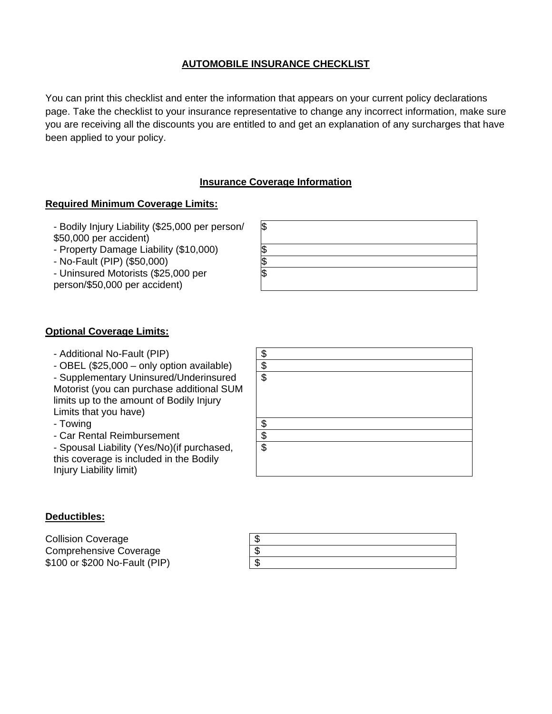# **AUTOMOBILE INSURANCE CHECKLIST**

You can print this checklist and enter the information that appears on your current policy declarations page. Take the checklist to your insurance representative to change any incorrect information, make sure you are receiving all the discounts you are entitled to and get an explanation of any surcharges that have been applied to your policy.

# **Insurance Coverage Information**

### **Required Minimum Coverage Limits:**

- Bodily Injury Liability (\$25,000 per person/ \$50,000 per accident)

- Property Damage Liability (\$10,000) \$
- No-Fault (PIP) (\$50,000) \$

- Uninsured Motorists (\$25,000 per person/\$50,000 per accident)



# **Optional Coverage Limits:**

- Additional No-Fault (PIP)  $\sim$  8
- $-$  OBEL (\$25,000 only option available)  $\|\$

- Supplementary Uninsured/Underinsured Motorist (you can purchase additional SUM limits up to the amount of Bodily Injury Limits that you have)

- Towing Services and Services and Services and Services and Services and Services and Services and Services and Services and Services and Services and Services and Services and Services and Services and Services and Servi
- Car Rental Reimbursement | \$

- Spousal Liability (Yes/No)(if purchased, this coverage is included in the Bodily Injury Liability limit)



#### **Deductibles:**

Collision Coverage Comprehensive Coverage \$ \$100 or \$200 No-Fault (PIP)